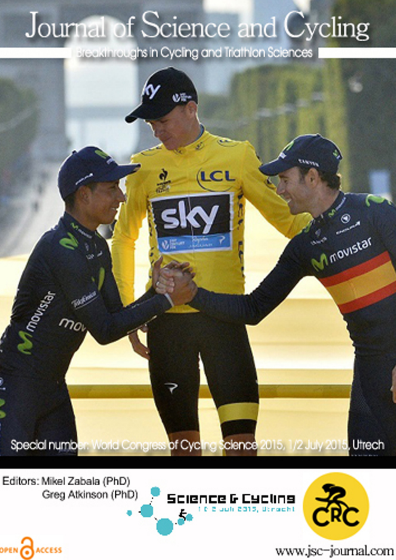## Journal of Science and Cycling

Breakthroughs in Cycling and Triathlon Sciences



Editors: Mikel Zabala (PhD) Greg Atkinson (PhD)

OPEN CACCESS





www.jsc-journal.com